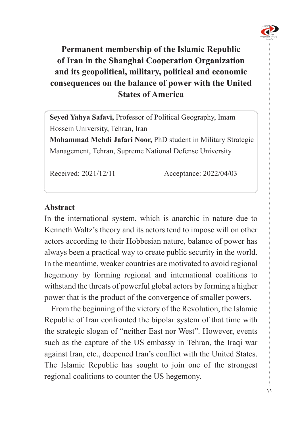

# **Permanent membership of the Islamic Republic** of Iran in the Shanghai Cooperation Organization and its geopolitical, military, political and economic **consequences on the balance of power with the United America of States**

Seyed Yahya Safavi, Professor of Political Geography, Imam Hossein University, Tehran, Iran

**Mohammad Mehdi Jafari Noor, PhD student in Military Strategic** Management, Tehran, Supreme National Defense University

Received: 2021/12/11 Acceptance: 2022/04/03

#### **Abstract**

In the international system, which is anarchic in nature due to Kenneth Waltz's theory and its actors tend to impose will on other actors according to their Hobbesian nature, balance of power has always been a practical way to create public security in the world. In the meantime, weaker countries are motivated to avoid regional hegemony by forming regional and international coalitions to withstand the threats of powerful global actors by forming a higher power that is the product of the convergence of smaller powers.

From the beginning of the victory of the Revolution, the Islamic Republic of Iran confronted the bipolar system of that time with the strategic slogan of "neither East nor West". However, events such as the capture of the US embassy in Tehran, the Iraqi war against Iran, etc., deepened Iran's conflict with the United States. The Islamic Republic has sought to join one of the strongest regional coalitions to counter the US hegemony.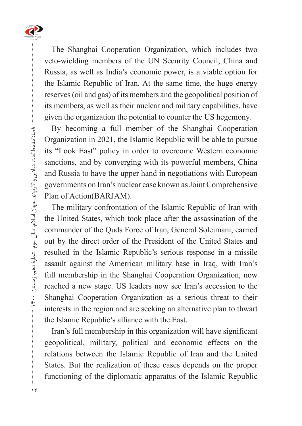

The Shanghai Cooperation Organization, which includes two veto-wielding members of the UN Security Council, China and Russia, as well as India's economic power, is a viable option for the Islamic Republic of Iran. At the same time, the huge energy reserves (oil and gas) of its members and the geopolitical position of its members, as well as their nuclear and military capabilities, have given the organization the potential to counter the US hegemony.

By becoming a full member of the Shanghai Cooperation Organization in 2021, the Islamic Republic will be able to pursue its "Look East" policy in order to overcome Western economic sanctions, and by converging with its powerful members, China and Russia to have the upper hand in negotiations with European governments on Iran's nuclear case known as Joint Comprehensive Plan of Action (BARJAM).

The military confrontation of the Islamic Republic of Iran with the United States, which took place after the assassination of the commander of the Quds Force of Iran, General Soleimani, carried out by the direct order of the President of the United States and resulted in the Islamic Republic's serious response in a missile assault against the Amerrican military base in Iraq, with Iran's full membership in the Shanghai Cooperation Organization, now reached a new stage. US leaders now see Iran's accession to the Shanghai Cooperation Organization as a serious threat to their interests in the region and are seeking an alternative plan to thwart the Islamic Republic's alliance with the East.

Iran's full membership in this organization will have significant geopolitical, military, political and economic effects on the relations between the Islamic Republic of Iran and the United States. But the realization of these cases depends on the proper functioning of the diplomatic apparatus of the Islamic Republic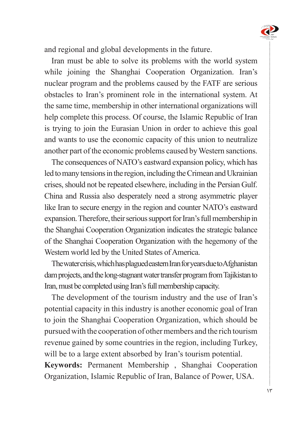

and regional and global developments in the future.

Iran must be able to solve its problems with the world system while joining the Shanghai Cooperation Organization. Iran's nuclear program and the problems caused by the FATF are serious obstacles to Iran's prominent role in the international system. At the same time, membership in other international organizations will help complete this process. Of course, the Islamic Republic of Iran is trying to join the Eurasian Union in order to achieve this goal and wants to use the economic capacity of this union to neutralize another part of the economic problems caused by Western sanctions.

The consequences of NATO's eastward expansion policy, which has led to many tensions in the region, including the Crimean and Ukrainian crises, should not be repeated elsewhere, including in the Persian Gulf. China and Russia also desperately need a strong asymmetric player like Iran to secure energy in the region and counter NATO's eastward expansion. Therefore, their serious support for Iran's full membership in the Shanghai Cooperation Organization indicates the strategic balance of the Shanghai Cooperation Organization with the hegemony of the Western world led by the United States of America.

The water crisis, which has plagued eastern Iran for years due to Afghanistan dam projects, and the long-stagnant water transfer program from Tajikistan to Iran, must be completed using Iran's full membership capacity.

The development of the tourism industry and the use of Iran's potential capacity in this industry is another economic goal of Iran to join the Shanghai Cooperation Organization, which should be pursued with the cooperation of other members and the rich tourism revenue gained by some countries in the region, including Turkey, will be to a large extent absorbed by Iran's tourism potential.

Keywords: Permanent Membership, Shanghai Cooperation Organization, Islamic Republic of Iran, Balance of Power, USA.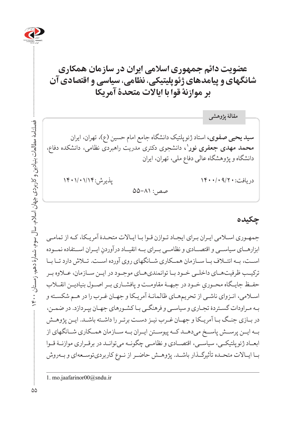

## **عضویت دائم جمهوری اسالمی ایران در سازمان همکاری شانگهای و پیامدهای ژئوپلیتیکی، نظامی، سیاسی و اقتصادی آن بر موازنۀ قوا با ایاالت متحدۀ آمریکا**

**سید یحیی صفوی،** استاد ژئوپلتیک دانشگاه جامع امام حسین )ع(، تهران، ایران **،1** دانشجوی دکتری مدریت راهبردی نظامی، دانشکده دفاع، **محمد مهدی جعفری نور** دانشگاه و پژوهشگاه عالی دفاع ملی، تهران، ایران دریافت: ۱۴۰۰/۰۹/۲۰ (۱۴۰۰/۰۹/۲۰ پذیرش:۱۴۰۱/۱۴۰  $\Delta\Delta-\Lambda$ 1: **مقالۀ پژوهشی**

**چکیده**

جمهـوری اسـامی ایـران بـرای ایجـاد تـوازن قـوا بـا ایـاالت متحـدۀ آمریـکا، کـه از تمامـی ابزارهــای سیاســی و اقتصـــادی و نظامــی بــرای بــه انقیــاد درآوردنِ ایــران اســتفاده نمــوده<br>. اســت، بــه ائتــاف بــا ســازمان همــکاری شــانگهای روی آورده اســت. تــاش دارد تــا بــا ترکیــب ظرفیتهــای داخلــی خــود بــا توانمندیهــای موجــود در ایــن ســازمان، عــاوه بــر حفــظ جایــگاه محــوريِ خــود در جبهــۀ مقاومــت و پافشــاري بــر اصــول بنیادیــن انقـــلاب<br>-اسـامی، انـزوای ناشـی از تحریمهـای ظالمانـۀ آمریـکا و جهـان غـرب را در هـم شکسـته و بـه مـراودات گسـتردۀ تجـاری و سیاسـی و فرهنگـی بـا کشـورهای جهـان بپـردازد. در ضمـن، در بـازی جنـگ بـا آمریـکا و جهـان غـرب نیـز دسـت برتـر را داشـته باشـد. ایـن پژوهـش بــه ایــن پرســش پاســخ میدهــد کــه پیوســتن ایــران بــه ســازمان همــکاری شــانگهای از ابعــاد ژئوپلتیکــی، سیاســی، اقتصــادی و نظامــی چگونــه میتوانــد در برقــراری موازنــۀ قــوا بــا ایــاالت متحــده تأثیرگــذار باشــد. پژوهــش حاضــر از نــوع کاربردیتوســعهای و بــهروش

فصلنامۀ مطالعات بنیادین و کاربردی جهان اسالم، سال سوم، شمارۀ دهم، زمستان 1400

سلنامه مطالعات بنیادین و کاربردی جهان اسلام، سال سوم، شمارهٔ دهم، زمستان ۱۴۰۰

<sup>1.</sup> mo.jaafarinor00@sndu.ir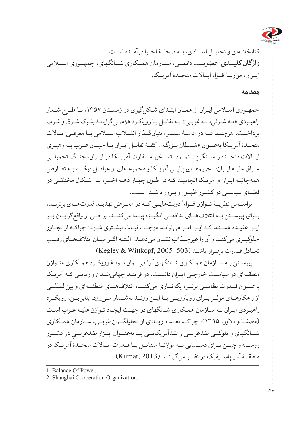

کتابخانـهای و تحلیـل اسـنادی، بـه مرحلـۀ اجـرا درآمـده اسـت. **واژگان کلیــدی**: عضویــت دائمــی، ســازمان همــکاری شــانگهای، جمهــوری اســامی ایــران، موازنــۀ قــوا، ایــاالت متحــدۀ آمریــکا.

#### **مقدمه**

جمهـوری اسـامی ایـران از همـان ابتـدای شـکلگیری در زمسـتان ،1357 بـا طـرح شـعار راهبـردی »نـه شـرقی، نـه غربـی« بـه تقابـل بـا رویکـرد هژمونیگرایانـۀ بلـوک شـرق و غـرب پرداخــت. هرچنــد کــه در ادامــۀ مســیر، بنیانگــذار انقــاب اســامی بــا معرفــی ایــاالت متحـدۀ آمریـکا بهعنـوان «شـیطان بـزرگ»، کفـۀ تقابـل ایـران بـا جهـان غـرب بـه رهبـری ایــاالت متحــده را ســنگینتر نمــود. تســخیر ســفارت آمریــکا در ایــران، جنــگ تحمیلــی عـراق علیـه ایـران، تحریمهـای پیاپـی آمریـکا و مجموعـهای از عوامـل دیگـر، بـه تعـارض همهجانبـۀ ایـران و آمریـکا انجامیـد کـه در طـول چهـار دهـۀ اخیـر، بـه اشـکال مختلفـی در فضـای سیاسـی دو کشـور ظهـور و بـروز داشـته اسـت.

براســاس نظریــهٔ تــوازن قــوا،' دولتهایــی کــه در معــرض تهدیــد قدرتهــای برترنــد، بــرای پیوســتن بــه ائتالفهــای تدافعــی انگیــزه پیــدا میکننــد. برخــی از واقعگرایــان بــر ایـن عقیـده هسـتند کـه ایـن امـر میتوانـد موجـب ثبـات بیشـتری شـود؛ چراکـه از تجـاوز جلوگیــری میکنــد و آن را غیرجــذاب نشــان میدهــد؛ البتــه اگــر میــان ائتالفهــای رقیــب تعــادل قــدرت برقــرار باشــد )503 2005: ,Wittkopf & Kegley).

پیوسـتن بـه سـازمان همـکاري شـانگهاي<sup>٢</sup> را ميتـوان نمونـۀ رويکـرد همـکاري متـوازن منطقـهای در سیاسـت خارجـی ایـران دانسـت. در فراینـد جهانیشـدن و زمانـی کـه آمریـکا بهعنــوان قــدرت نظامــی برتــر، یکهتــازی میکنــد، ائتالفهــای منطقــهای و بینالمللــی از راهکارهــای مؤثــر بــرای رویارویــی بــا ایــن رونــد بهشــمار مــیرود. بنابرایــن، رویکــرد راهبـردی ایـران بـه سـازمان همـکاری شـانگهای در جهـت ایجـاد تـوازن علیـه غـرب اسـت )مصفــا و دالور، 1395(؛ چراکــه تعــداد زیــادی از تحلیلگــران غربــی، ســازمان همــکاری شــانگهای را بلوکــی ضدغربــی و ضدآمریکایــی یــا بهعنــوان ابــزار ضدغربــیِ دو کشــور<br>. روســیه و چیــن بــرای دســتیابی بــه موازنــۀ متقابــل بــا قــدرت ایــاالت متحــدۀ آمریــکا در منطقــۀ آسیاپاســیفیک در نظــر میگیرنــد )2013 ,Kumar).

2. Shanghai Cooperation Organization.

<sup>1.</sup> Balance Of Power.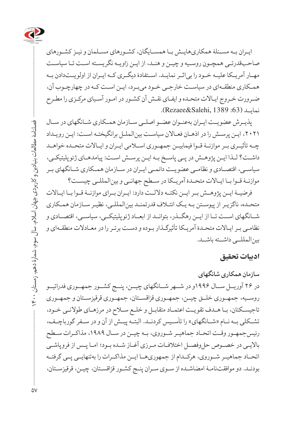

ایـران بـه مسـئلۀ همکاریهایـش بـا همسـایگان، کشـورهاى مسـلمان و نیـز کشـورهای صاحبقدرتـی همچـون روسـیه و چیـن و هنـد، از ایـن زاویـه نگریسـته اسـت تـا سیاسـت مهــار آمریــکا علیــه خــود را بیاثــر نمایــد. اســتفادۀ دیگــری کــه ایــران از اولویــتدادن بــه همـکاری منطقـهاى در سیاسـت خارجـی خـود میبـرد، ایـن اسـت کـه در چهارچـوب آن، ضـرورت خـروج ایـاالت متحـده و ایفـاى نقـش آن کشـور در امـور آسـیای مرکـزی را مطـرح نمایــد ):63 1389 ,Salehi&Rezaee).

پذیــرش عضویــت ایــران بهعنــوان عضــو اصلــی ســازمان همــکاری شــانگهای در ســال ،2021 ایـن پرسـش را در اذهـان فعـاالن سیاسـت بینالملـل برانگیختـه اسـت: ایـن رویـداد چــه تأثیــری بــر موازنــۀ قــوا فیمابیــن جمهــوری اســامی ایــران و ایــاالت متحــده خواهــد داشـت؟ لـذا ایـن پژوهـش در پـی پاسـخ بـه ایـن پرسـش اسـت: پیامدهـای ژئوپلیتیکـی، سیاســی، اقتصــادی و نظامــی عضویــت دائمــی ایــران در ســازمان همــکاری شــانگهای بــر موازنــۀ قــوا بــا ایــاالت متحــدۀ آمریــکا در ســطح جهانــی و بینالمللــی چیســت؟

فرضیــۀ ایــن پژوهــش بــر ایــن نکتــه داللــت دارد: ایــران بــرای موازنــۀ قــوا بــا ایــاالت متحـده، ناگزیـر از پیوسـتن بـه یـک ائتـاف قدرتمنـد بینالمللـی، نظیـر سـازمان همـکاری شــانگهای اســت تــا از ایــن رهگــذر، بتوانــد از ابعــاد ژئوپلیتیکــی، سیاســی، اقتصــادی و نظامـی بـر ایـاالت متحـدۀ آمریـکا تأثیرگـذار بـوده و دسـت برتـر را در معـادالت منطقـهای و بینالمللــی داشــته باشــد.

#### **ادبیات تحقیق**

**سازمان همکاری شانگهای**  در ۲۶ آوریــل ســال ۱۹۹۶و در شــهر شــانگهای چیــن، پنــج کشــور جمهــوری فدراتیــو روســیه، جمهــوری خلــق چیــن، جمهــوری قزاقســتان، جمهــوری قرقیزســتان و جمهــوری تاجیسـکتان، بـا هـدف تقویـت اعتمـاد متقابـل و خلـع سـاح در مرزهـای طوالنـی خـود، تشــکلی بــه نــام »شــانگهای« را تأســیس کردنــد. البتــه پیــش از آن و در ســفر گورباچــف، رئیسجمهـور وقـت اتحـاد جماهیـر شـوروی، بـه چیـن در سـال ،۱۹۸۹ مذاکـرات سـطح باالیـی در خصـوص حلوفصـل اختالفـات مـرزی آغـاز شـده بـود؛ امـا پـس از فروپاشـی اتحــاد جماهیــر شــوروی، هرکــدام از جمهوریهــا ایــن مذاکــرات را بهتنهایــی پــی گرفتــه بودنـد. دو موافقتنامـۀ امضاشـده از سـوی سـران پنـج کشـور قزاقسـتان، چیـن، قرقیزسـتان،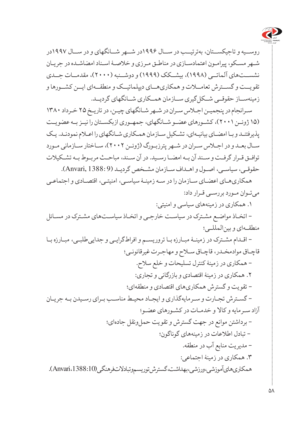

روســیه و تاجیکســتان، بهترتیــب در ســال ۱۹۹۶در شــهر شــانگهای و در ســال ۱۹۹۷در شـهر مسـکو، پیرامـون اعتمادسـازی در مناطـق مـرزی و خالصـۀ اسـناد امضاشـده در جریـان نشســتهای آلماتــی )۱۹۹۸(، بیشــکک )۱۹۹۹( و دوشــنبه )۲۰۰۰(، مقدمــات جــدی تقویــت و گســترش تعامــات و همکاریهــای دیپلماتیــک و منطقــهای ایــن کشــورها و زمینهســاز حقوقــی شــکلگیری ســازمان همــکاری شــانگهای گردیــد.

سـرانجام در پنجمیـن اجـاس سـران در شـهر شـانگهای چیـن، در تاریـخ ۲۵ خـرداد ۱۳۸۰ )۱۵ ژوئــن ۲۰۰۱(، کشــورهای عضــو شــانگهای، جمهــوری ازبکســتان را نیــز بــه عضویــت پذیرفتنـد و بـا امضـای بیانیـهای، تشـکیل سـازمان همـکاری شـانگهای را اعـام نمودنـد. یـک سـال بعـد و در اجـاس سـران در شـهر پترزبـورگ )ژوئـن ۲۰۰۲(، سـاختار سـازمانی مـورد توافــق قــرار گرفــت و ســند آن بــه امضــا رســید. در آن ســند، مباحــث مربــوط بــه تشــکیالت حقوقـی، سیاسـی، اصـول و اهـداف سـازمان مشـخص گردیـد )9 1388: ,Anvari).

همکاریهـای اعضـای سـازمان را در سـه زمینـۀ سیاسـی، امنیتـی، اقتصـادی و اجتماعـی میتـوان مـورد بررسـی قـرار داد:

.۱ همکاری در زمینههای سیاسی و امنیتی: - اتخـاذ مواضـع مشـترک در سیاسـت خارجـی و اتخـاذ سیاسـتهای مشـترک در مسـائل

منطقــهای و بینالمللــی؛ - اقـدام مشـترک در زمینـۀ مبـارزه بـا تروریسـم و افراطگرایـی و جداییطلبـی، مبـارزه بـا

قاچـاق موادمخـدر، قاچـاق سـاح و مهاجـرت غیرقانونـی؛ - همکاری در زمینۀ کنترل تسلیحات و خلع سالح. .۲ همکاری در زمینۀ اقتصادی و بازرگانی و تجاری: - تقویت و گسترش همکاریهای اقتصادی و منطقهای؛ - گسـترش تجـارت و سـرمایهگذاری و ایجـاد محیـط مناسـب بـرای رسـیدن بـه جریـان آزاد سـرمایه و کاال و خدمـات در کشـورهای عضـو؛ - برداشتن موانع در جهت گسترش و تقویت حملونقل جادهای؛ - تبادل اطالعات در زمینههای گوناگون؛ - مدیریت منابع آب در منطقه. .۳ همکاری در زمینۀ اجتماعی: همکاریهای آموزشی، ورزشی، بهداشت، گسترش توریسم و تبادالت فرهنگی )10 1388: ،Anvari).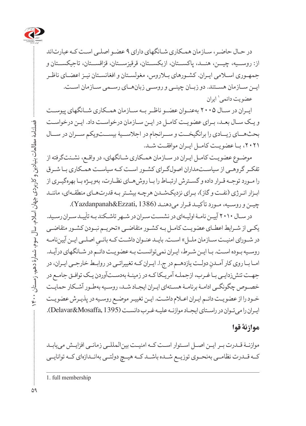

در حـال حاضـر، سـازمان همـکاری شـانگهای دارای 9 عضـو اصلـی اسـت کـه عبارتاند از: روســیه، چیــن، هنــد، پاکســتان، ازبکســتان، قرقیزســتان، قزاقســتان، تاجیکســتان و جمهـوری اسـامی ایـران. کشـورهای بـاروس، مغولسـتان و افغانسـتان نیـز اعضـای ناظـر ایــن ســازمان هســتند. دو زبــان چینــی و روســی زبانهــای رســمی ســازمان اســت. عضویت دائمی' ایران

ایــران در ســال ۲۰۰۵ بهعنــوان عضــو ناظــر بــه ســازمان همــکاری شــانگهای پیوســت و یـک سـال بعـد، بـرای عضویـت کامـل در ایـن سـازمان درخواسـت داد. ایـن درخواسـت بحثهــای زیــادی را برانگیخــت و ســرانجام در اجالســیۀ بیســتویکم ســران در ســال ،۲۰۲۱ بــا عضویــت کامــل ایــران موافقــت شــد.

موضـوع عضویـت کامـل ایـران در سـازمان همـکاری شـانگهای، در واقـع، نشـئتگرفته از تفکـر گروهـی از سیاسـتمداران اصولگـرای کشـور اسـت کـه سیاسـت همـکاری بـا شـرق را مـورد توجـه قـرار داده و گسـترش ارتبـاط را بـا روشهـای نظـارت، بهویـژه بـا بهرهگیـری از ابـزار انـرژی )نفـت و گاز(، بـرای نزدیکشـدن هرچـه بیشـتر بـه قدرتهـای منطقـهای، ماننـد چیـن و روسـیه، مـورد تأکیـد قـرار میدهنـد )1386 ,Ezzati&Yazdanpanah).

در سـال 2010 آییـن نامـۀ اولیـهای در نشسـت سـران در شـهر تاشـکند بـه تأییـد سـران رسـید. یکـی از شـرایط اعطـای عضویـت کامـل بـه کشـور متقاضـی »تحریـم نبـودن کشـور متقاضـی ِ اصلـی ایـن آییننامـه در شـورای امنیـت سـازمان ملـل« اسـت. بایـد عنـوان داشـت کـه بانـی روسـیه بـوده اسـت. بـا ایـن شـرط، ایـران نمیتوانسـت بـه عضویـت دائـم در شـانگهای درآیـد. امـا بـا روی کار آمـدنِ دولــت یازدهــم در ج.ا. ایـران کــه تغییراتـی در روابـط خارجـی ایـران، در جهـت تنشزدایـی بـا غـرب، ازجملـه آمریـکا کـه در زمینـۀ بهدسـتآوردن یـک توافـق جامـع در خصـوص چگونگـی ادامـۀ برنامـۀ هسـتهای ایـران ایجـاد شـد، روسـیه بهطـور آشـکار حمایـت خـود را از عضویـت دائـم ایـران اعـام داشـت. ایـن تغییـر موضـع روسـیه در پذیـرش عضویـت ایـران را میتـوان در راسـتای ایجـاد موازنـه علیـه غـرب دانسـت )1395 ,Mosaffa&Delavar).

#### **موازنۀ قوا**

موازنـۀ قـدرت بـر ایـن اصـل اسـتوار اسـت کـه امنیـت بینالمللـی زمانـی افزایـش مییابـد کــه قــدرت نظامــی بهنحــوی توزیــع شــده باشــد کــه هیــچ دولتــی بهانــدازهای کــه توانایــی

فصلنامۀ مطالعات بنیادین و کاربردی جهان اسالم، سال سوم، شمارۀ دهم، زمستان 1400

فصلنامه مطالعات بنیادین و کاربردی جهان اسلام، سال سوم، شمارهٔ دهم، زمستان ۱۴۰۰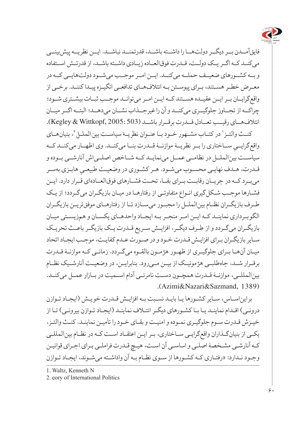

فایقآمــدن بــر دیگــر دولتهــا را داشــته باشــد، قدرتمنــد نباشــد. ایــن نظریــه پیشبینــی میکنــد کــه اگــر یــک دولــت، قــدرت فوقالعــاده زیــادی داشــته باشــد، از قدرتــش اســتفاده و بــه کشــورهای ضعیــف حملــه میکنــد. ایــن امــر موجــب میشــود دولتهایــی کــه در معـرض خطـر هسـتند، بـرای پیوسـتن بـه ائتالفهـای تدافعـی انگیـزه پیـدا کننـد. برخـی از واقعگرایــان بــر ایــن عقیــده هســتند کــه ایــن امــر میتوانــد موجــب ثبــات بیشــتری شــود؛ چراکــه از تجــاوز جلوگیــری میکنــد و آن را غیرجــذاب نشــان میدهــد؛ البتــه اگــر میــان ائتالفهــای رقیــب تعــادل قــدرت برقــرار باشــد )503 2005: ,Wittkopf & Kegley). ،2 بنیانهـای 1 در کتـاب مشـهور خـود بـا عنـوان *نظریـۀ سیاسـت بینالملـل* کنـث والتـز ِ ســاختاری را بــر نظریــۀ موازنــۀ قــدرت بنــا میکنــد. وی اظهــار میکنــد کــه واقعگرایــی سیاســت بینالملــل در نظامــی عمــل مینمایــد کــه شــاخص اصلــیاش آنارشــی بــوده و قـدرت، هـدف نهایـی محسـوب میشـود. هـر کشـوری در وضعیـت طبیعـیِ هابـزی بهسـر<br>. میبــرد کــه در جریــان رقابــت بــرای بقــا، تحــت فشــارهای فوقالعــادهای قــرار دارد. ایــن فشـارها موجـب شـکلگیری انـواع متفاوتـی از رفتارهـا در میـان بازیگـران میگـردد؛ از یـک طــرف بازیگــران نظــام بینالملــل را مجبــور میســازد تــا از رفتارهــای موفقتریــن بازیگــران الگوبــرداری نماینــد کــه ایــن امــر منجــر بــه ایجــاد واحدهــای یکســان و همزیســتی میــان بازیگـران میگـردد و از طـرف دیگـر، افزایـش سـریع قـدرت یـک بازیگـر باعـث تحریـک سـایر بازیگـران بـرای افزایـش قـدرت خـود و در صـورت عـدم کفایـت، موجـب ایجـاد اتحاد میـان آنهـا بـرای جلوگیـری از ظهـور هژمـون بالقـوه میگـردد. زمانـی کـه موازنـۀ قـدرت برقــرار شــد، جاهطلبــی هژمونیــک از بیــن مــیرود. بنابرایــن، در وضعیــت آنارشــیک نظــام بینالمللــی، موازنــۀ قــدرت همچــون دســت نامرئــی آدام اســمیت در بــازار عمــل میکنــد. (Azimi&Nazari&Sazmand, 1389).

برایناسـاس، سـایر کشـورها یـا بایـد نسـبت بـه افزایـش قـدرت خویـش )ایجـاد تـوازن درونـی) اقـدام نماینـد یـا بـا کشـورهای دیگـر ائتـلاف نماینـد (ایجـاد تـوازن بیرونـی) تـا از خیـزش قـدرت سـوم جلوگیـری نمـوده و امنیـت و بقـای خـود را تأمیـن نماینـد. کنـث والتـز، یکـی از بنیانگـذاران واقعگرایـی سـاختاری، بـر ایـن اعتقـاد اسـت کـه در نظـام بینالمللـی کـه آنارشـی مشـخصۀ اصلـی و اساسـی آن اسـت، هیـچ قـدرت فراملـی بـرای اجـرای قوانیـن وجـود نـدارد: »رفتـاری کـه کشـورها از سـوی نظـام بـه آن واداشـته میشـوند، ایجـاد تـوازن

1. Waltz, Kenneth N

2. eory of International Politics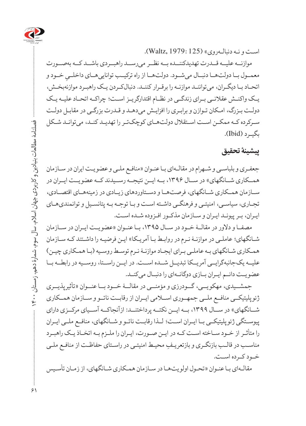

اسـت و نـه دنبالـهروی« )125 1979: ,Waltz).

موازنــه علیــه قــدرت تهدیدکننــده بــه نظــر میرســد راهبــردی باشــد کــه بهصــورت معمــول بــا دولتهــا دنبــال میشــود. دولتهــا از راه ترکیــب تواناییهــای داخلــیِ خــود و<br>. اتحـاد بـا دیگـران، میتواننـد موازنـه را برقـرار کننـد. دنبالکـردن یـک راهبـرد موازنهبخـش، یــک واکنــش عقالنــی بــرای زندگــی در نظــام اقتدارگریــز اســت؛ چراکــه اتحــاد علیــه یــک دولـت بـزرگ، امـکان تـوازن و برابـری را افزایـش میدهـد و قـدرت بزرگـی در مقابـل دولـت سـرکرده کـه ممکـن اسـت اسـتقالل دولتهـای کوچکتـر را تهدیـد کنـد، میتوانـد شـکل  $(Lbid)$ بگب د

#### **پیشینۀ تحقیق**

جعفـری و بلباسـی و شـهرام در مقالـهای بـا عنـوان »منافـع ملـی و عضویـت ایران در سـازمان همــکاری شــانگهای» در ســال ۱۳۹۶، بــه ایــن نتیجــه رســیدند کــه عضو یــت ایــران در ســازمان همــکاری شــانگهای، فرصتهــا و دســتاوردهای زیــادی در زمینههــای اقتصــادی، تجـاری، سیاسـی، امنیتـی و فرهنگـی داشـته اسـت و بـا توجـه بـه پتانسـیل و توانمندیهـای ایـران، بـر پیونـد ایـران و سـازمان مذکـور افـزوده شـده اسـت.

مصفــا و دالور در مقالــۀ خــود در ســال ،1395 بــا عنــوان »عضویــت ایــران در ســازمان شـانگهای؛ عاملـی در موازنـۀ نـرم در روابـط بـا آمریـکا« ایـن فرضیـه را داشـتند کـه سـازمان همـکاری شـانگهای بـه عاملـی بـرای ایجـاد موازنـۀ نـرم توسـط روسـیه )بـا همـکاری چیـن( علیــه یکجانبهگرایــی آمریــکا تبدیــل شــده اســت. در ایــن راســتا، روســیه در رابطــه بــا عضویــت دائــم ایــران بــازی دوگانــهای را دنبــال میکنــد.

جمشــیدی، مهکویــی، گــودرزی و مؤمنــی در مقالــۀ خــود بــا عنــوان »تأثیرپذیــری ژئوپلیتیکــی منافــع ملــی جمهــوری اســامی ایــران از رقابــت ناتــو و ســازمان همــکاری شــانگهای» در ســال ۱۳۹۹، بــه ایــن نکتــه پرداختنــد: ازآنجاکــه آســیای مرکــزی دارای پیوســتگی ژئوپلیتیکــی بــا ایــران اســت؛ لــذا رقابــت ناتــو و شــانگهای، منافــع ملــی ایــران را متأثـر از خـود سـاخته اسـت کـه در ایـن صـورت، ایـران را ملـزم بـه اتخـاذ یـک راهبـرد ِ مناسـب در قالـب بازنگـری و بازتعریـف محیـط امنیتـی در راسـتای حفاظـت از منافـع ملـی خــود کــرده اســت.

مقالـهای بـا عنـوان »تحـول اولویتهـا در سـازمان همـکاری شـانگهای، از زمـان تأسـیس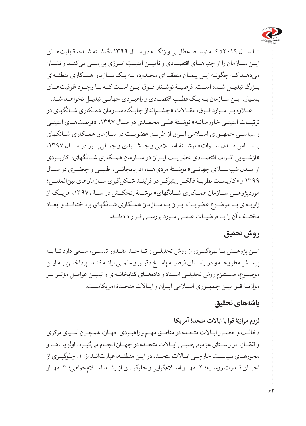

تــا ســال 2019« کــه توســط عطایــی و زنگنــه در ســال 1399 نگاشــته شــده، قابلیتهــای ایــن ســازمان را از جنبه ِ هــای اقتصــادی و تأمیــن امنیــت انــرژی بررســی میکنــد و نشــان میدهـد کـه چگونـه ایـن پیمـان منطقـهای محـدود، بـه یـک سـازمان همـکاری منطقـهای بــزرگ تبدیــل شــده اســت. فرضیــۀ نوشــتار فــوق ایــن اســت کــه بــا وجــود ظرفیتهــای بسـیار، ایـن سـازمان بـه یـک قطـب اقتصـادی و راهبـردی جهانـی تبدیـل نخواهـد شـد.

عـاوه بـر مـوارد فـوق، مقـاالت »چشـمانداز جایـگاه سـازمان همـکاری شـانگهای در ترتیبـات امنیتـی خاورمیانـه» نوشـتۀ علـی محمـدی در سـال ۱۳۹۷، «فرصتهـای امنیتـی و سیاســی جمهــوری اســامی ایــران از طریــق عضویــت در ســازمان همــکاری شــانگهای براســاس مــدل ســوات» نوشــتۀ اســلامی و جمشــیدی و جمالی بــور در ســال ١٣٩٧، »ازشــیابی اثــرات اقتصــادی عضویــت ایــران در ســازمان همــکاری شــانگهای؛ کاربــردی از مــدل شبیهســـازی جهانــی» نوشــتۀ مردیهـــا، آذربایجانــی، طیبــی و جعفــری در ســال 1399 و »کاربسـت نظریـۀ فالکـر ریتبرگـر در فراینـد شـکلگیری سـازمانهای بینالمللـی؛ موردپژوهـــیِ ســـازمان همــکاری شـــانگهای» نوشــتۀ رنجکــش در ســـال ۱۳۹۷، هریــک از<br>-زاویـهای بـه موضـوع عضویـت ایـران بـه سـازمان همـکاری شـانگهای پرداختهانـد و ابعـاد مختلــف آن را بــا فرضیــات علمــی مــورد بررســی قــرار دادهانــد.

### **روش تحقیق**

ایــن پژوهــش بــا بهرهگیــری از روش تحلیلــی و تــا حــد مقــدور تبیینــی، ســعی دارد تــا بــه پرسـش مطروحـه و در راسـتای فرضیـه پاسـخ دقیـق و علمـی ارائـه کنـد. پرداختـن بـه ایـن موضــوع، مســتلزم روش تحلیلــی اســناد و دادههــای کتابخانــهای و تبییــن عوامــل مؤثــر بــر موازنـۀ قـوا بیـن جمهـوری اسـامی ایـران و ایـاالت متحـدۀ آمریکاسـت.

#### **یافتههای تحقیق**

**لزوم موازنۀ قوا با ایاالت متحدۀ آمر یکا**  دخالـت و حضـور ایـاالت متحـده در مناطـق مهـم و راهبـردی جهـان، همچـون آسـیای مرکزی و قفقــاز، در راســتای هژمونیطلبــی ایــاالت متحــده در جهــان انجــام میگیــرد. اولویتهــا و محورهـای سیاسـت خارجـی ایـاالت متحـده در ایـن منطقـه، عبارتانـد از: .1 جلوگیـری از احیـای قــدرت روسـيه؛ ٢. مهـار اسـلامگرايی و جلوگيـری از رشــد اسـلامخواهی؛ ٣. مهـار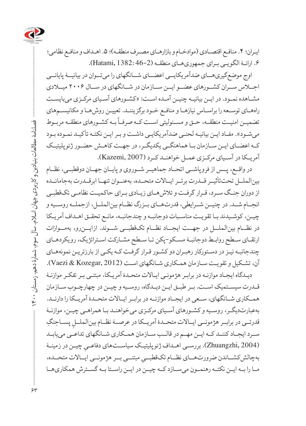

ایـران؛ ۴. منافـع اقتصـادی (موادخـام و بازارهـای مصـرف منطقـه)؛ ۵. اهـداف و منافـع نظامی؛ ۶. ارائـهٔ الگویمی برای جمهوریهای منطقه (2-46: Hatami, 1382).

اوج موضعگیریهــای ضدآمریکایــی اعضــای شــانگهای را میتــوان در بیانیــۀ پایانــی اجــاس ســران کشــورهای عضــو ایــن ســازمان در شــانگهای در ســال 2006 میــادی مشـاهده نمـود. در ایـن بیانیـه چنیـن آمـده اسـت: »کشـورهای آسـیای مرکـزی میبایسـت راههـای توسـعه را براسـاس نیازهـا و منافـع خـود برگزیننـد. تعییـن روشهـا و مکانیسـمهای ے ۔<br>تضمیــن امنیــت منطقــه، حــق و مســئولیتی اســت کــه صرفــاً بــه کشــورهای منطقــه مربــوط میشـود«. مفـاد ایـن بیانیـه لحنـی ضدآمریکایـی داشـت و بـر ایـن نکتـه تأکیـد نمـوده بـود کــه اعضــای ایــن ســازمان بــا هماهنگــی یکدیگــر، در جهــت کاهــش حضــور ژئوپلیتیــک آمریــکا در آســیای مرکــزی عمــل خواهنــد کــرد )2007 ,Kazemi).

در واقــع، پــس از فروپاشــی اتحــاد جماهیــر شــوروی و پایــان جهــان دوقطبــی، نظــام بینالملــل تحتتأثیــر قــدرت برتــر ایــاالت متحــده، بهعنــوان تنهــا ابرقــدرت بهجامانــده از دوران جنـگ سـرد، قـرار گرفـت و تالشهـای زیـادی بـرای حاکمیـت نظامـی تکقطبـی انجــام شــد. در چنیــن شــرایطی، قدرتهــای بــزرگ نظــام بینالملــل، ازجملــه روســیه و چیـن، کوشـیدند بـا تقویـت مناسـبات دوجانبـه و چندجانبـه، مانـع تحقـق اهـداف آمریـکا در نظــام بینالملــل در جهــت ایجــاد نظــام تکقطبــی شــوند. ازایــنرو، بهمــوازات ارتقـای سـطح روابـط دوجانبـۀ مسـکو-پکن تـا سـطح مشـارکت اسـتراتژیک، رویکردهـای چندجانبـه نیـز در دسـتورکار رهبـران دو کشـور قـرار گرفـت کـه یکـی از بارزتریـن نمونههـای آن، تشـکیل و تقویـت سـازمان همـکاری شـانگهای اسـت )2012 ,Kozegar & Vaezi).

دیـدگاه ایجـاد موازنـه در برابـر هژمونـی ایـاالت متحـدۀ آمریـکا، مبتنـی بـر تفکـر موازنـۀ قــدرت سیســتمیک اســت. بــر طبــق ایــن دیــدگاه، روســیه و چیــن در چهارچــوب ســازمان همــکاری شــانگهای، ســعی در ایجــاد موازنــه در برابــر ایــاالت متحــدۀ آمریــکا را دارنــد. بهعبارتدیگـر، روسـیه و کشـورهای آسـیای مرکـزی میخواهنـد بـا همراهـی چیـن، موازنـۀ قدرتــی در برابــر هژمونــی ایــالات متحــدۀ آمریــکا در عرصــۀ نظــام بینالملــلِ پســاجنگِ<br>-ســرد ایجــاد کننــد کــه ایــن مهــم در قالــب ســازمان همــکاری شــانگهای تداعــی مییابــد ِ چیـن در زمینـۀ )2004 ,Zhuangzhi). بررسـی اهـداف ژئوپلیتیـک سیاسـتهای دفاعـی بهچالشكشــاندن ضرورتهــاي نظــام تكقطبــيِ مبتنــي بــر هژمونــي ايــالات متحــده،<br>. مــا را بــه ایــن نکتــه رهنمــون میســازد کــه چیــن در ایــن راســتا بــه گســترش همکاریهــا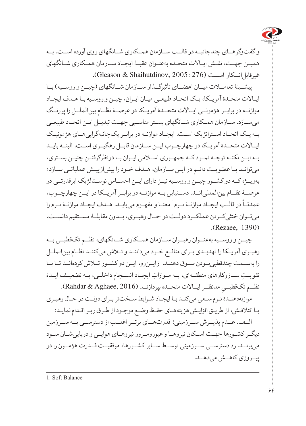

و گفتوگوهــای چندجانبــه در قالــب ســازمان همــکاری شــانگهای روی آورده اســت. بــه همیــن جهــت، نقــش ایــاالت متحــده بهعنــوان عقبــۀ ایجــاد ســازمان همــکاری شــانگهای غیرقابل انسکار اسست (276 : Gleason & Shaihutdinov, 2005).

پیشــینۀ تعامـــلات میـــان اعضـــای تأثیرگـــذار ســـازمان شـــانگهای (چیـــن و روســیه) بــا ایـاالت متحـدۀ آمریـکا، یـک اتحـاد طبیعـی میـان ایـران، چیـن و روسـیه بـا هـدف ایجـاد موازنــه در برابــر هژمونــی ایــاالت متحــدۀ آمریــکا در عرصــۀ نظــام بینالملــل را پررنــگ میســازد. ســازمان همــکاری شــانگهای بســتر مناســبی جهــت تبدیــل ایــن اتحــاد طبیعــی بــه یــک اتحــاد اســتراتژیک اســت. ایجــاد موازنــه در برابــر یکجانبهگراییهــای هژمونیــک ایــاالت متحــدۀ آمریــکا در چهارچــوب ایــن ســازمان قابــل رهگیــری اســت. البتــه بایــد بــه ایــن نکتــه توجــه نمــود کــه جمهــوری اســامی ایــران بــا درنظرگرفتــن چنیــن بســتری، میتوانـد بـا عضویـت دائـم در ایـن سـازمان، هـدف خـود را بیشازپیـش عملیاتـی سـازد؛ بهویــژه کــه دو کشــور چیــن و روســیه نیــز دارای ایــن احســاس نوســتالژیک ابرقدرتــی در عرصــۀ نظــام بینالمللیانــد. دســتیابی بــه موازنــه در برابــر آمریــکا در ایــن چهارچــوب، 1 معنــا و مفهــوم مییابــد. هــدف ایجــاد موازنــۀ نــرم را ً در قالــب ایجــاد موازنــۀ نــرم عمدتــا میتــوان خنثیکــردن عملکــرد دولــت در حــال رهبــری، بــدون مقابلــۀ مســتقیم دانســت. (Rezaee, 1390).

چیــن و روســیه بهعنــوان رهبــران ســازمان همــکاری شــانگهای، نظــم تکقطبــی بــه رهبـری آمریـکا را تهدیـدی بـرای منافـع خـود میداننـد و تـاش میکننـد نظـام بینالملـل را بهســمت چندقطبیبــودن ســوق دهنــد. ازایــنرو، ایــن دو کشــور تــاش کردهانــد تــا بــا ِ تقویــت ســازوکارهای منطقــه ِ ای، بــه مــوازات ایجــاد انســجام داخلــی، بــه تضعیــف ایــدۀ نظــم تکـقطبـــي مدنظــر ايــالات متحــده بپردازنــد (Rahdar & Aghaee, 2016).<br>. موازنهدهنـدۀ نـرم سـعی میکنـد بـا ایجـاد شـرایط سـختتر بـرای دولـت در حـال رهبـری

یـا ائتالفـش، از طریـق افزایـش هزینههـای حفـظ وضـع موجـود از طـرق زیـر اقـدام نمایـد:

الــف. عــدم پذیــرش ســرزمینی؛ قدرتهــای برتــر اغلــب از دسترســی بــه ســرزمین دیگــر کشــورها جهــت اســکان نیروهــا و عبورومــرور نیروهــای هوایــی و دریاییشــان ســود میبرنــد. رد دسترســی ســرزمینی توســط ســایر کشــورها، موفقیــت قــدرت هژمــون را در پیــروزی کاهــش میدهــد.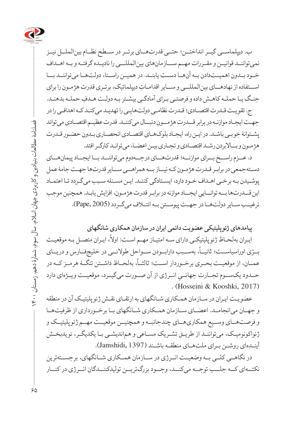

ب. دیپلماســی گیــر انداختــن؛ حتــی قدرتهــای برتــر در ســطح نظــام بینالملــل نیــز نمیتواننــد قوانیــن و مقــررات مهــم ســـازمانهای بینالمللـــی را نادیــده گرفتــه و بــه اهــداف خــود بــدون اهمیــتدادن بــه آنهــا دســت یابنــد. در همیــن راســتا، دولتهــا میتواننــد بـــا اســتفاده از نهادهــای بین ِ المللــی و ســایر اقدامـات دیپلماتیک، برتـری قدرت هژمـون را برای ِ جنـگ یـا حملـه کاهـش داده و فرصتـی بـرای آمادگـی بیشـتر بـه دولـت هـدف حملـه بدهنـد.

ج. تقویـت قـدرت اقتصـادی؛ قـدرت نظامـی دولتهایـی را تهدیـد میکنـد کـه اهدافـی را در جهـت ایجـاد موازنـه در برابر قــدرت هژمــون دنبــال میکننـد. قدرت عظیـم اقتصـادی میتواند پشـتوانۀ خوبـی باشـد. در ایـن راه، ایجـاد بلوکهـای اقتصـادی انحصـاری بـدون حضـور قـدرت هژمـون و بــاالبردن رشـد اقتصـادی و تجـاری بیـن اعضـا، میتوانـد کارگـر افتد.

د. عــزم راســخ بــرای موازنــه؛ قدرتهــای درجــهدوم میتواننــد بــا ایجــاد پیمانهــای دسـتهجمعی در برابـر قـدرت هژمـون کـه نیــاز بــه همراهــی ســایر قدرتها جهـت جامۀ عمل پوشـیدن بـه برخـی اهـداف خـود دارد، ایسـتادگی کننـد. ایـن مسـئله سـبب میگـردد تـا اعتمـاد این قـــدرتها بــه توانـــاییِ ایجـــاد موازنه در برابـر قدرت هژمـون، افزایش یابـد. همچنین موجب<br>-ترغیــب ســایر دولتهــا در جهــت پیوســتن بــه ائتــاف میگــردد )2005 ,Pape).

**پیامدهای ژئوپلیتیکی عضویت دائمی ایران در سازمان همکاری شانگهای** 

په<br>ایـران بهلحـاظ ژئوپلیتیکـی دارای سـه امتیـاز مهـم اسـت: اولاً، ایـران متصـل بـه موقعیـت ،ً بهســبب دارابــودن ســواحل طوالنــی در خلیجفــارس و دریــای ّ ی اوراسیاســت؛ ثانیــا بــر ،ً بهلحــاظ داشــتن تنگــۀ هرمــز کــه در عمــان، از موقعیــت بحــری برخــوردار اســت؛ ثالثــا حـــدود یکــســوم تجـــارت جهانـــیِ انــرژی از آن صـــورت میگیــرد، موقعیــت ویــژهای دارد<br>حصوص موجود میشود حصوص در میسم . (Hosseini & Kooshki, 2017).

عضویـت ایـران در سـازمان همـکاری شـانگهای به ارتقـای نقـش ژئوپلیتیـک آن در منطقه و جهــان میانجامــد. اعضــای ســازمان همــکاری شــانگهای بــا برخــورداری از ظرفیتهــا و فرصتهــای وســیع همکاریهــای چندجانبــه و همچنیــن موقعیــت مهــم ژئوپلیتیــک و ژئواکونومیـک، میتواننـد از طریـق تشـریک مسـاعی و هماندیشـی بـا یکدیگـر، نویدبخـش آینـدهای روشـن بـرای ملتهـای منطقـه باشـند )1397 ,Jamshidi).

در نگاهــی کلــی بــه وضعیــت انــرژی در ســازمان همــکاری شــانگهای، برجســتهترین نکتــهای کــه جلــب توجــه میکنــد، وجــود بزرگتریــن تولیدکننــدگان انــرژی در کنــار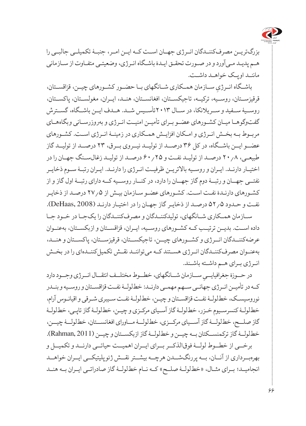

بزرگتریــن مصرفکننــدگان انــرژی جهــان اســت کــه ایــن امــر، جنبــۀ تکمیلــی جالبــی را هـم پدیـد مـیآورد و در صـورت تحقـق ایـدۀ باشـگاه انـرژی، وضعیتـی متفـاوت از سـازمانی ماننـد اوپـک خواهـد داشـت.

باشــگاه انــرژيِ ســازمان همــکاري شــانگهاي بــا حضــور کشــورهاي چيــن، قزاقســتان، قرقیزســتان، روســیه، ترکیــه، تاجیکســتان، افغانســتان، هنــد، ایــران، مغولســتان، پاکســتان، روســیۀ ســفید و ســریالنکا، در ســال 2013تأســیس شــد. هــدف ایــن باشــگاه، گســترش گفتوگوهـا میـان کشـورهای عضـو بـرای تأمیـن امنیـت انـرژی و بهروزرسـانی وبگاههـای مربــوط بــه بخــش انــرژی و امــکان افزایــش همــکاری در زمینــۀ انــرژی اســت. کشــورهای عضــو ایــن باشــگاه، در کل 36 درصــد از تولیــد نیــروی بــرق، 23 درصــد از تولیــد گاز طبیعـی، 20.8 درصـد از تولیـد نفـت و 60.25 درصـد از تولیـد زغالسـنگ جهـان را در اختیـار دارنـد. ایـران و روسـیه باالتریـن ظرفیـت انـرژی را دارنـد. ایـران رتبـۀ سـوم ذخایـر نفتــی جهــان و رتبــۀ دوم گاز جهــان را دارد، در کنــار روســیه کــه دارای رتبــۀ اول گاز و از کشـورهای دارنـدۀ نفـت اسـت. کشـورهای عضـو سـازمان بیـش از 27.5 درصـد از ذخایـر نفت و حـدود ۵ / ۵۲ درصـد از ذخایـ گاز جهـان را در اختیـار دارنـد (DeHaas, 2008). ســازمان همــکاری شــانگهای، تولیدکننــدگان و مصرفکننــدگان را یکجــا در خــود جــا داده اســت. بدیــن ترتیــب کــه کشــورهای روســیه، ایــران، قزاقســتان و ازبکســتان، بهعنــوان

عرضهکننــدگان انــرژی و کشــورهای چیــن، تاجیکســتان، قرقیزســتان، پاکســتان و هنــد، بهعنــوان مصرفکننــدگان انــرژی هســتند کــه میتواننــد نقــش تکمیلکننــدهای را در بخــش انـرژی بـرای هـم داشـته باشـند.

در حــوزۀ جغرافیایـــیِ ســـازمان شـــانگهای، خطــوط مختلــف انتقــال انــرژی وجـــود دارد<br>م کــه در تأمیــن انــرژی جهانــی ســهم مهمــی دارنــد: خطلولــۀ نفــت قزاقســتان و روســیه و بنــدر نوروسیسـک، خطلولـۀ نفـت قزاقسـتان و چیـن، خطلولـۀ نفـت سـیبری شـرقی و اقیانـوس آرام، خطلولـۀ کنسرسـیوم خـزر، خطلولـۀ گاز آسـیای مرکـزی و چیـن، خطلولـۀ گاز تاپـی، خطلولـۀ گاز صلــح، خطلولــۀ گاز آســیای مرکــزی، خطلولــۀ مــاورای افغانســتان، خطلولــۀ چیــن، خطلولــۀ گاز ترکمنســکتان بــه چیــن و خطلولــۀ گاز ازبکســتان و چیــن )2011 ,Rahman). برخــی از خطــوط لولــۀ فوقالذکــر بــرای ایــران اهمیــت حیاتــی دارنــد و تکمیــل و

بهرهبــرداری از آنــان، بــه پررنگشــدن هرچــه بیشــتر نقــش ژئوپلیتیکــی ایــران خواهــد انجامیــد؛ بــرای مثــال، »خطلولــۀ صلــح« کــه نــام خطلولــۀ گاز صادراتــی ایــران بــه هنــد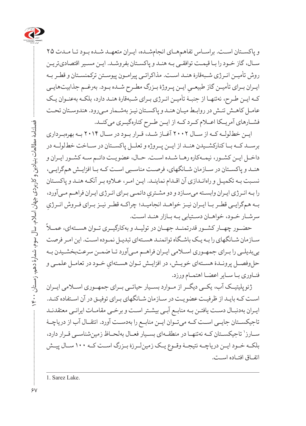

و پاکسـتان اسـت. براسـاس تفاهمهـای انجامشـده، ایـران متعهـد شـده بـود تـا مـدت ۲۵ سـال، گاز خـود را بـا قیمـت توافقـی بـه هنـد و پاکسـتان بفروشـد. ایـن مسـیر اقتصادیتریـن روش تأمیـن انـرژی شـبهقارۀ هنـد اسـت. مذاکراتـی پیرامـون پیوسـتن ترکمنسـتان و قطـر بـه ایـران بـرای تأمیـن گاز طبیعـیِ ایـن پـروژۀ بـزرگ مطـرح شـده بـود. بهرغــم جذابیتهایـی<br>. کـه ایـن طـرح، نهتنهـا از جنبـۀ تأمیـن انـرژی بـرای شـبهقارۀ هنـد دارد، بلکـه بهعنـوان یـک عامـل کاهـش تنـش در روابـط میـان هنـد و پاکسـتان نیـز بهشـمار مـیرود. هندوسـتان تحـت فشــارهای آمریــکا اعــام کــرد کــه از ایــن طــرح کنارهگیــری میکنــد.

ایــن خطلولــه کــه از ســال ۲۰۰۲ آغــاز شــد، قــرار بــود در ســال ۲۰۱۴ بــه بهرهبــرداری برســد کــه بــا کنارکشــیدن هنــد از ایــن پــروژه و تعلــل پاکســتان در ســاخت خطلولــه در داخـل ایـن کشـور، نیمـهکاره رهـا شـده اسـت. حـال، عضویـت دائـم سـه کشـور ایـران و هنـد و پاکسـتان در سـازمان شـانگهای، فرصـت مناسـبی اسـت کـه بـا افزایـش همگرایـی، نسـبت بـه تکمیـل و راهانـدازی آن اقـدام نماینـد. ایـن امـر، عـاوه بـر آنکـه هنـد و پاکسـتان را بـه انـرژی ايـران وابسـته میسـازد و دو مشـتریِ دائمـی بـرای انـرژی ايـران فراهــم مـیآورد،<br>. ِ بــه همگرایــی قطــر بــا ایــران نیــز خواهــد انجامیــد؛ چراکــه قطــر نیــز بــرای فــروش انــرژی سرشــار خــود، خواهــان دســتیابی بــه بــازار هنــد اســت.<br>حضـــور چهــار كشــور قدرتمنــد جهــان در توليــد و بهكارگيـــري تــوان هســتهاي، عمـــلاً

سـازمان شـانگهای را بـه یـک باشـگاه توانمنـد هسـتهای تبدیـل نمـوده اسـت. این امـر فرصت بیبدیلـی را بـرای جمهـوری اسـامی ایـران فراهـم مـیآورد تـا ضمـن سرعتبخشـیدن بـه حل وفصــل پرونــدۀ هســتهای خويــش، در افزايــش تــوان هســتهايِ خــود در تعامــل علمــي و فنـاوری بـا سـایر اعضـا اهتمـام ورزد.

ژئوپلیتیــک آب، یکــی دیگــر از مــوارد بســیار حیاتــی بــرای جمهــوری اســامی ایــران اسـت کـه بایـد از ظرفیـت عضویـت در سـازمان شـانگهای بـرای توفیـق در آن اسـتفاده کنـد. ایـران بهدنبـال دسـت یافتـن بـه منابـع آبـی بیشـتر اسـت و برخـی مقامـات ایرانـی معتقدنـد تاجیکســتان جایــی اســت کــه میتــوان ایــن منابــع را بهدســت آورد. انتقــال آب از دریاچــۀ سـارز' تاجیکسـتان کـه نهتنهـا در منطقـهاي بسـیار فعـال بهلحـاظ زمینشناسـی قـرار دارد، بلکــه خــود ایــن دریاچــه نتیجــۀ وقــوع یــک زمینلــرزۀ بــزرگ اســت کــه 100 ســال پیــش اتفـاق افتـاده اسـت.

1. Sarez Lake.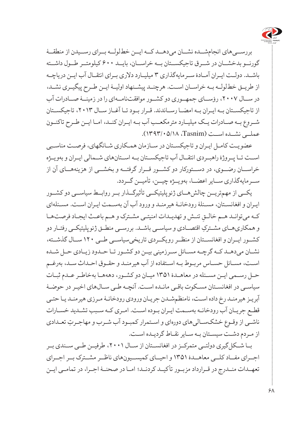

بررســیهای انجامشــده نشــان میدهــد کــه ایــن خطلولــه بــرای رســیدن از منطقــۀ گورنــو بدخشــان در شــرق تاجیکســتان بــه خراســان، بایــد 600 کیلومتــر طــول داشــته باشــد. دولــت ایــران آمــادۀ ســرمایهگذاری 3 میلیــارد دالری بــرای انتقــال آب ایــن دریاچــه از طریــق خطلولــه بــه خراســان اســت. هرچنــد پیشــنهاد اولیــۀ ایــن طــرح پیگیــری نشــد، در ســال ،2007 رؤســای جمهــوری دو کشــور موافقتنامــهای را در زمینــۀ صــادرات آب از تاجیکســتان بــه ایــران بــه امضــا رســاندند. قــرار بــود تــا آغــاز ســال ،2013 تاجیکســتان شــروع بــه صــادرات یــک میلیــارد مترمکعــب آب بــه ایــران کنــد، امــا ایــن طــرح تاکنــون عملــی نشــده اســت )Tasnim، 1393/05/18).

عضویـت کامـل ایـران و تاجیکسـتان در سـازمان همـکاری شـانگهای، فرصـت مناسـبی اســت تــا پــروژۀ راهبــردی انتقــال آب تاجیکســتان بــه اســتانهای شــمالی ایــران و بهویــژه خراســان رضــوی، در دســتورکار دو کشــور قــرار گرفتــه و بخشــی از هزینههــای آن از ســرمایهگذاری ســایر اعضــا، بهویــژه چیــن، تأمیــن گــردد.

یکــی از مهمتریــن چالشهــای ژئوپلیتیکــی تأثیرگــذار بــر روابــط سیاســی دو کشــور ایـران و افغانسـتان، مسـئلۀ رودخانـۀ هیرمنـد و ورود آب آن بهسـمت ایـران اسـت. مسـئلهای كـه ميتوانـد هـم خالـقِ تنـش و تهديـدات امنيتـي مشـترک و هـم باعـث ايجـاد فرصتهـا و همکاری ِ هــای مشــترک اقتصــادی و سیاســی باشــد. بررســی منطــق ژئوپلیتیکــی رفتــار دو کشــور ایــران و افغانســتان از منظــر رویکــردی تاریخیسیاســی طــی 120 ســال گذشــته، نشــان میدهــد کــه گرچــه مســائل ســرزمینی بیــن دو کشــور تــا حــدود زیــادی حــل شــده اسـت، مسـائل حسـاس مربـوط بـه اسـتفاده از آب هیرمنـد و حقـوق احـداث سـد، بهرغـم حــل رســمی ایــن مســئله در معاهــدۀ 1351 میــان دو کشــور، دهههــا بهخاطــر عــدم ثبــات سیاسـی در افغانسـتان مسـکوت باقـی مانـده اسـت. آنچـه طـی سـالهای اخیـر در حوضـۀ آبریـز هیرمنـد رخ داده اسـت، نامنظمشـدن جریـان ورودی رودخانـۀ مـرزی هیرمنـد یـا حتـی قطـع جریـان آب رودخانـه بهسـمت ایـران بـوده اسـت. امـری کـه سـبب تشـدید خسـارات ناشـی از وقـوع خشکسـالیهای دوره ِ ای و اسـتمرار کمبـود آب شـرب و مهاجـرت تعـدادی از مـردم دشـت سیسـتان بـه سـایر نقـاط گردیـده اسـت.

بــا شــکلگیری دولتــی متمرکــز در افغانســتان از ســال ،2001 طرفیــن طــی ســندی بــر اجــرای مفــاد کلــی معاهــدۀ 1351 و احیــای کمیســیونهای ناظــر مشــترک بــر اجــرای تعهــدات منــدرج در قــرارداد مزبــور تأکیــد کردنــد؛ امــا در صحنــۀ اجــرا، در تمامــی ایــن

۶۸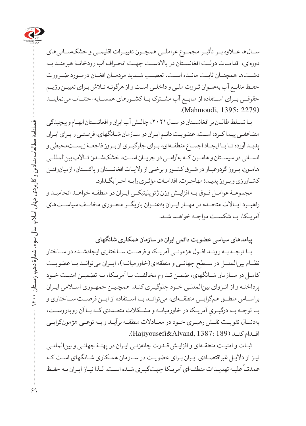

ســالها عــاوه بــر تأثیــر مجمــوع عواملــی همچــون تغییــرات اقلیمــی و خشکســالیهای دورهای، اقدامـات دولـت افغانسـتان در باالدسـت جهـت انحـراف آب رودخانـۀ هیرمنـد بـه دشــتها همچنــان ثابــت مانــده اســت. تعصــب شــدید مردمــان افغــان درمــورد ضــرورت حفـظ منابـع آب بهعنـوان ثـروت ملـی و داخلـی اسـت و از هرگونـه تـاش بـرای تعییـن رژیـم حقوقــی بــرای اســتفاده از منابــع آب مشــترک بــا کشــورهای همســایه اجتنــاب مینماینــد (Mahmoudi, 1395: 2279).

بـا تسـلط طالبان بر افغانسـتان در سـال ،2021 چالـش آب ایران و افعانسـتان ابهـام و پیچیدگی مضاعفـی پیـدا کـرده اسـت. عضویـت دائـم ایـران در سـازمان شـانگهای، فرصتـی را بـرای ایـران پدیـد آورده تـا بـا ایجـاد اجمـاع منطقـهای، بـرای جلوگیـری از بـروز فاجعـۀ زیسـتمحیطی و انسـانی در سیسـتان و هامـون کـه بهآرامـی در جریـان اسـت، خشکشـدن تـاالب بینالمللـی هامـون، بـروز گردوغبـار در شـرق کشـور و برخـی از والیـات افغانسـتان و پاکسـتان، ازمیانرفتـن کشـاورزی و بـروز پدیـدۀ مهاجـرت، اقدامـات مؤثـری را بـه اجـرا بگـذارد.

مجموعـۀ عوامـل فـوق بـه افزایـش وزن ژئوپلیتیکـی ایـران در منطقـه خواهـد انجامیـد و راهبــرد ایــاالت متحــده در مهــار ایــران بهعنــوان بازیگــر محــوری مخالــف سیاســتهای آمریـکا، بـا شکسـت مواجـه خواهـد شـد.

**پیامدهای سیاسی عضویت دائمی ایران در سازمان همکاری شانگهای**

بــا توجــه بــه رونــد افــول هژمونــی آمریــکا و فرصــت ســاختاری ایجادشــده در ســاختار نظــام بین الملــل در ســطح جهانــی و منطقهای(خاورمیانــه)، ایــران میتوانــد بــا عضویــت کامـل در سـازمان شـانگهای، ضمـن تـداوم مخالفـت بـا آمریـکا، بـه تضمیـن امنیـت خـود پرداختـه و از انـزوای بینالمللـی خـود جلوگیـری کنـد. همچنیـن جمهـوری اسـامی ایـران براســاس منطــق همگرایــی منطقــهای، میتوانــد بــا اســتفاده از ایــن فرصــت ســاختاری و بــا توجــه بــه درگيــري آمريــکا در خاورميانــه و مشــکلات متعــددي کــه بــا آن روبهروســت،<br>. بهدنبـال تقویـت نقـش رهبـری خـود در معـادالت منطقـه برآیـد و بـه نوعــی هژمونگرایـی اقــدام کنــد )189 1387: ,Alvand&Hajiyousefi).

ثبـات و امنیـت منطقـهای و افزایـش قـدرت چانهزنـی ایـران در پهنـۀ جهانـی و بینالمللـی نیـز از دالیـل غیراقتصـادی ایـران بـرای عضویـت در سـازمان همـکاری شـانگهای اسـت کـه ً علیـه تهدیـدات منطقـهای آمریـکا جهتگیـری شـده اسـت. لـذا نیـاز ایـران بـه حفـظ عمدتـا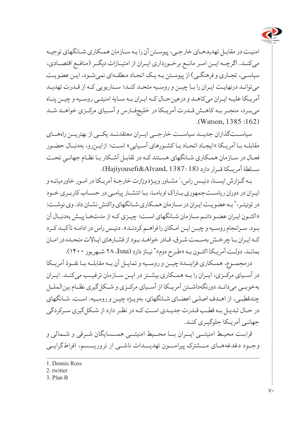

امنیـت در مقابـل تهدیدهـای خارجـی، پیوسـتن آن را بـه سـازمان همـکاری شـانگهای توجیـه میکنــد. اگرچــه ایــن امــر مانــع برخــورداری ایــران از امتیــازات دیگــر )منافــع اقتصــادی، سیاسـی، تجـاری و فرهنگـی) از پیوسـتن بـه یـک اتحـاد منطقـهای نمی شـود، ایـن عضو یـت میتوانـد درنهایـت ایـران را بـا چیـن و روسـیه متحـد کنـد؛ سـناریویی کـه از قـدرت تهدیـد آمریـکا علیـه ایـران میکاهـد و درعینحـال کـه ایـران بـه سـایۀ امنیتـی روسـیه و چیـن پنـاه میبــرد، منجــر بــه کاهــش قــدرت آمریــکا در خلیجفــارس و آســیای مرکــزی خواهــد شــد (Watson, 1385 :162).

سیاســتگذاران جدیــد سیاســت خارجــی ایــران معتقدنــد یکــی از بهتریــن راههــای مقابلـه بـا آمریـکا «ایجـاد اتحـاد بـا کشـورهای آسـیایی» اسـت؛ ازایـن رو، بهدنبـال حضـور فعـال در سـازمان همـکاری شــانگهای هســتند کـه در تقابـل آشـکار بـا نظــام جهانـیِ تحــت<br>مسینیت میسیسیمی ســلطۀ آمریــکا قــرار دارد )18 1387: ,Alvand&Hajiyousefi).

بـه گـزارش ايسـنا، دنيـس راس، ' مشـاور ويـژۀ وزارت خارجـۀ آمريـكا در امـور خاورميانـه و ایـران در دوران ریاسـتجمهوری بـاراک اوبامـا، بـا انتشـار پیامـی در حسـاب کاربـری خـود در توئیتـر، ` بـه عضویـت ایـران در سـازمان همـکاری شـانگهای واکنش نشـان داد. وی نوشـت: »اکنـون ایـران عضـو دائـم سـازمان شـانگهای اسـت؛ چیـزی کـه از مدتهـا پیـش بهدنبـال آن بـود. سـرانجام روسـیه و چیـن ایـن امـکان را فراهـم کردنـد». دنیـس راس در ادامـه تأکیـد کـرد کـه ایـران بـا چرخـش بهسـمت شـرق، قـادر خواهـد بـود از فشـارهای ایـاالت متحـده در امـان بمانـد. دولـت آمريـكا اكنـون بـه «طـرح دوم»" نيـاز دارد (Isna، ٢٨ شـهريور ١۴٠٠).

درمجمــوع، همــکاری فزاینــدۀ چیــن و روســیه و تمایــل آن بــه مقابلــه بــا نفــوذ آمریــکا در آســیای مرکــزی، ایــران را بــه همــکاری بیشــتر در ایــن ســازمان ترغیــب میکنــد. ایــران بهخوبــی میدانــد دورنگهداشــتن آمریــکا از آســیای مرکــزی و شــکلگیری نظــام بینالملــل چندقطبـی، از اهـدف اصلـی اعضـای شـانگهای، بهویـژه چیـن و روسـیه، اسـت. شـانگهای در حـال تبدیـل بـه قطـب قـدرت جدیـدی اسـت کـه در نظـر دارد از شـکلگیری سـرکردگی جهانـی آمریـکا جلوگیـری کنـد.

قرابـت محیـط امنیتــی ایــران بــا محــیط امنیتــی همــسایگان شـرقی و شـمالی و وجــود دغدغههــای مـــشترک پیرامـــون تهدیـــدات ناشــی از تروریـــسم، افراطگرایــی

- 2. twitter
- 3. Plan B

<sup>1.</sup> Dennis Ross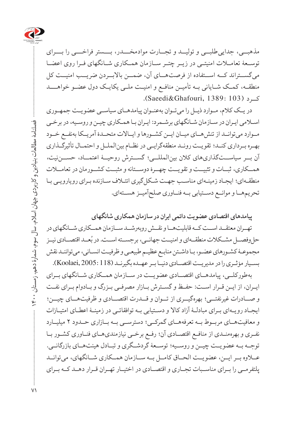

مذهبــی، جداییطلبــی و تولیــد و تجــارت موادمخـــدر، بـــستر فراخـــی را بـــرای توســعۀ تعامــات امنیتــی در زیــر چتــر ســازمان همــکاری شــانگهای فــرا روی اعضــا میگســتراند کــه اســتفاده از فرصتهــای آن، ضمــن باالبــردن ضریــب امنیــت کل منطقــه، کمــک شــایانی بــه تأمیــن منافــع و امنیــت ملــی یکایــک دول عضــو خواهــــد کــرد )103 1389: ,Ghafouri&Saeedi).

در یــک کالم، مــوارد ذیــل را میتــوان بهعنــوان پیامدهــای سیاســی عضویــت جمهــوری اسـامی ایـران در سـازمان شـانگهای برشـمرد: ایـران بـا همـکاری چیـن و روسـیه، در برخـی مــوارد میتوانــد از تنشهــای میــان ایــن کشــورها و ایــاالت متحــدۀ آمریــکا بهنفــع خــود بهــره بــرداری کنــد؛ تقویــت رونــد منطقهگرایــی در نظــام بینالملــل و احتمــال تأثیرگــذاری آن بــر سیاســتگذاریهای کالن بینالمللــی؛ گســترش روحیــۀ اعتمــاد، حســننیت، همــکاری، ثبــات و تثبیــت و تقویــت چهــرۀ دوســتانه و مثبــت کشــورمان در تعامــات منطقـهای؛ ایجـاد زمینـهای مناسـب جهـت شـکلگیری ائتـاف سـازنده بـرای رویارویـی بـا تحریمهــا و موانــع دســتیابی بــه فنــاوری صلحآمیــز هســتهای.

**پیامدهای اقتصادی عضویت دائمی ایران در سازمان همکاری شانگهای**

تهــران معتقــد اســت کــه قابلیتهــا و نقــش روبهرشــد ســازمان همــکاری شــانگهای در حل وفصـــل مشــکلات منطقــهای و امنیــت جهانــی، برجســته اســت. در بُعــد اقتصــادی نیــز مجموعـۀ کشـورهای عضـو، بـا داشـتن منابـع عظیـم طبیعـی و ظرفیـت انسـانی، میتواننـد نقش بســیار مؤثــری را در مدیریــت اقتصــادی دنیــا بــر عهــده بگیرنــد )118 2005: ,Koolaei).

بهطورکلــی، پیامدهــای اقتصــادی عضویــت در ســازمان همــکاری شــانگهای بــرای ایــران، از ایــن قــرار اســت: حفــظ و گســترش بــازار مصرفــی بــزرگ و بــادوام بــرای نفــت و صــادرات غیرنفتــی؛ بهرهگیــری از تــوان و قــدرت اقتصــادی و ظرفیتهــای چیــن؛ ایجـاد رویـهای بـرای مبادلـۀ آزاد کاال و دسـتیابی بـه توافقاتـی در زمینـۀ اعطـای امتیـازات و معافیتهــای مربــوط بــه تعرفههــای گمرکــی؛ دسترســی بــه بــازاری حــدود 2 میلیــارد نفـری و بهرهمنـدی از منافـع اقتصـادی آن؛ رفـع برخـی نیازمندیهـای فنـاوری کشـور بـا توجــه بــه عضویــت چیــن و روســیه؛ توســعۀ گردشــگری و تبــادل هیئتهــای بازرگانــی. عــاوه بــر ایــن، عضویــت الحــاق کامــل بــه ســازمان همــکاری شــانگهای، میتوانــد پلتفرمــی را بــرای مناســبات تجــاری و اقتصــادی در اختیــار تهــران قــرار دهــد کــه بــرای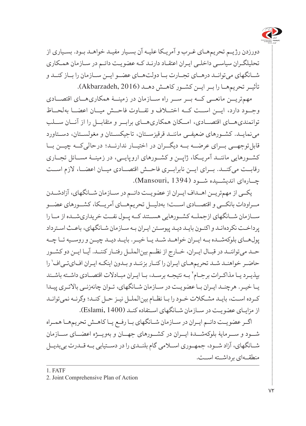

دورزدن رژیـم تحریمهـای غـرب و آمریـکا علیـه آن بسـیار مفیـد خواهـد بـود. بسـیاری از تحلیلگـران سیاسـی داخلـی ایـران اعتقـاد دارنـد کـه عضویـت دائـم در سـازمان همـکاری شــانگهای میتوانــد درهــای تجــارت بــا دولتهــای عضــو ایــن ســازمان را بــاز کنــد و تأثیـر تحریمهـا را بـر ایـن کشـور کاهـش دهـد (Akbarzadeh, 2016).

مهمتریــن مانعــی کــه بــر ســر راه ســازمان در زمینــۀ همکاریهــای اقتصــادی وجــود دارد، ایــن اســت کــه اختــاف و تفــاوت فاحــش میــان اعضــا بهلحــاظ توانمندیهــای اقتصــادی، امــکان همکاریهــای برابــر و متقابــل را از آنــان ســلب مینمایــد. کشــورهای ضعیفــی ماننــد قرقیزســتان، تاجیکســتان و مغولســتان، دســتاورد قابلتوجهــی بــرای عرضــه بــه دیگــران در اختیــار ندارنــد؛ درحالیکــه چیــن بــا کشــورهایی ماننــد آمریــکا، ژاپــن و کشــورهای ارو پایــی، در زمینــۀ مســائل تجــاری رقابــت میکنــد. بــرای ایــن نابرابــری فاحــش اقتصــادی میــان اعضــا، الزم اســت چــارهای اندیشــیده شــود )1394 ,Mansouri).

یکــی از مهمتریــن اهــداف ایــران از عضویــت دائــم در ســازمان شــانگهای، آزادشــدن مــراودات بانکــی و اقتصــادی اســت؛ بهدلیــل تحریمهــای آمریــکا، کشــورهای عضــو ســازمان شــانگهای ازجملــه کشــورهایی هســتند کــه پــول نفــت خریداریشــده از مــا را پرداخـت نکردهانـد و اکنـون بایـد دیـد پیوسـتن ایـران بـه سـازمان شـانگهای، باعـث اسـترداد پولهــای بلوکهشــده بــه ایــران خواهــد شــد یــا خیــر. بایــد دیــد چیــن و روســیه تــا چــه حــد میتواننــد در قبــال ایــران، خــارج از نظــم بینالملــل رفتــار کننــد. آیــا ایــن دو کشــور حاضـر خواهنـد شـد تحریمهـای ایـران را کنـار بزننـد و بـدون اینکـه ایـران اف|یتـیاف' را بپذیـرد یـا مذاکـرات برجـام` بـه نتیجـه برسـد، بـا ایـران مبـادلات اقتصـادی داشـته باشـند یـا خیـر. هرچنـد ایـران بـا عضویـت در سـازمان شـانگهای، تـوان چانهزنـی باالتـری پیـدا کـرده اسـت، بایـد مشـکالت خـود را بـا نظـام بینالملـل نیـز حـل کنـد؛ وگرنـه نمیتوانـد از مزایـای عضویـت در سـازمان شـانگهای اسـتفاده کنـد )1400 ,Eslami).

اگــر عضویــت دائــم ایــران در ســازمان شــانگهای بــا رفــع یــا کاهــش تحریمهــا همــراه شــود و ســرمایۀ بلوکهشــدۀ ایــران در کشــورهای جهــان و بهویــژه اعضــای ســازمان شــانگهای، آزاد شــود، جمهــوری اســامی گام بلنــدی را در دســتیابی بــه قــدرت بیبدیــل منطقــهای برداشــته اســت.

1. FATF

<sup>2.</sup> Joint Comprehensive Plan of Action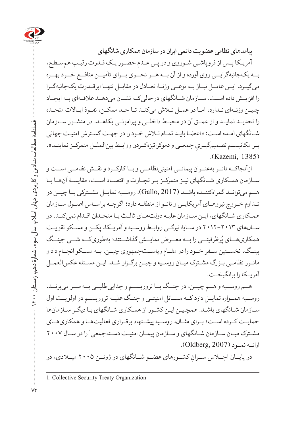

**پیامدهای نظامی عضویت دائمی ایران در سازمان همکاری شانگهای**

آمریـکا پـس از فروپاشـی شـوروی و در پـی عـدم حضـور یـک قـدرت رقیـب همسـطح، بــه یکجانبهگرایــی روی آورده و از آن بــه هــر نحــوی بــرای تأمیــن منافــع خــود بهــره میگیــرد. ایــن عامــل نیــاز بــه نوعــی وزنــۀ تعــادل در مقابــل تنهــا ابرقــدرت یکجانبهگــرا را افزایــش داده اســت. ســازمان شــانگهای درحالیکــه نشــان میدهــد عالقــهای بــه ایجــاد چنیـن وزنـهای نـدارد، امـا در عمـل تـاش میکنـد تـا حـد ممکـن، نفـوذ ایـاالت متحـده را تحدیــد نمایــد و از عمــق آن در محیــط داخلــی و پیرامونــی بکاهــد. در منشــور ســازمان شـانگهای آمـده اسـت: »اعضـا بایـد تمـام تـاش خـود را در جهـت گسـترش امنیـت جهانی بــر مکانیســم تصمیمگیــريِ جمعــي و دموکراتیزهکــردن روابــط بین|لملــل متمرکــز نماینــد».<br>. (Kazemi, 1385).

ازآنجاکــه ناتــو بهعنــوان پیمانــی امنیتینظامــی و بــا کارکــرد و نقــش نظامــی اســت و سـازمان همـکاری شـانگهای نیـز متمرکـز بـر تجـارت و اقتصـاد اسـت، مقایسـۀ آنهـا بـا هــم میتوانــد گمراهکننــده باشــد )2017 ,Gallo). روســیه تمایــل مشــترکی بــا چیــن در تـداوم خـروج نیروهـای آمریکایـی و ناتـو از منطقـه دارد؛ اگرچـه براسـاس اصـول سـازمان همـکاری شـانگهای، ایـن سـازمان علیـه دولتهـای ثالـث یـا متحـدان اقـدام نمیکنـد. در سـالهای 2012-2013 در ســایۀ تیرگــی روابــط روســیه و آمریــکا، پکــن و مســکو تقویــت همکاریهــای پُرظرفیتــی را بــه معــرض نمایــش گذاشــتند؛ بهطوریکــه شــی جینــگ پینــگ، نخســتین ســفر خــود را در مقــام ریاســتجمهوری چیــن، بــه مســکو انجــام داد و مانـور نظامـی بـزرگ مشـترک میـان روسـیه و چیـن برگـزار شـد. ایـن مسـئله عکسالعمـل آمریــکا را برانگیخــت.

هــم روســیه و هــم چیــن، در جنــگ بــا تروریســم و جداییطلبــی بــه ســر میبرنــد. روســیه همــواره تمایــل دارد کــه مســائل امنیتــی و جنــگ علیــه تروریســم در اولویــت اول سـازمان شـانگهای باشـد. همچنیـن ایـن کشـور از همـکاری شـانگهای بـا دیگـر سـازمانها حمایــت کــرده اســت؛ بــرای مثــال، روســیه پیشــنهاد برقــراری فعالیتهــا و همکاریهــای مشـترک میـان ســازمان شــانگهای و ســازمان پیمــان امنیــت دســتهجمعی' را در ســال ٢٠٠٧ ارائــه نمـود (Oldberg, 2007).

در پایــان اجـــلاس ســـرانِ كشـــورهای عضـــو شـــانگهای در ژوئــن ۲۰۰۵ میــلادی، در

 $V\Upsilon$ 

<sup>1.</sup> Collective Security Treaty Organization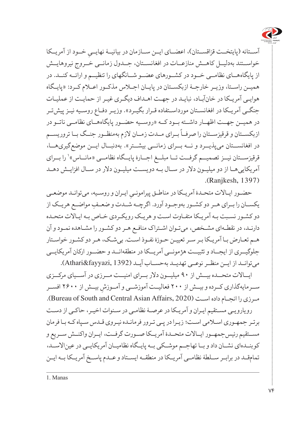

آســتانه (پایتخــت قزاقســتان)، اعضـــای ایــن ســـازمان در بیانیــۀ نهایـــیِ خــود از آمریــکا<br>-خواســتند بهدلیــل کاهــش منازعــات در افغانســتان، جــدول زمانــی خــروج نیروهایــش از پایگاههــای نظامــی خــود در کشــورهای عضــو شــانگهای را تنظیــم و ارائــه کنــد. در همیــن راســتا، وزیــر خارجــۀ ازبکســتان در پایــان اجــاس مذکــور اعــام کــرد: »پایــگاه هوایـی آمریـکا در خانآبـاد، نبایـد در جهـت اهـداف دیگـری غیـر از حمایـت از عملیـات جنگـی آمریـکا در افغانسـتان مورداسـتفاده قـرار بگیـرد«. وزیـر دفـاع روسـیه نیـز پیشتـر در همیــن جهــت اظهــار داشــته بــود کــه »روســیه حضــور پایگاههــای نظامــی ناتــو در ت<br>ازبکســتان و قرقیزســتان را صرفــاً بــرای مــدت زمــان لازم بهمنظــور جنــگ بــا تروریســم در افغانســتان میپذیــرد و نــه بــرای زمانــی بیشــتر«. بهدنبــال ایــن موضعگیریهــا، قرقیزســـتان نیــز تصمیـــم گرفــت تــا مبلــغ اجــارۀ پایــگاه نظامــی «مانــاس»٬ را بــرای آمریکاییهـا از دو میلیـون دالر در سـال بـه دویسـت میلیـون دالر در سـال افزایـش دهـد (Ranjkesh, 1397).

حضـور ایـالات متحـدۀ آمریـکا در مناطـق پیرامونـیِ ایـران و روسـیه، میتوانـد موضعـی<br>-یکســان را بــرای هــر دو کشــور به ِ وجــود آورد. اگرچــه شــدت و ضعــف مواضــع هریــک از دو کشـور نسـبت بـه آمریـکا متفـاوت اسـت و هریـک رویکـردی خـاص بـه ایـاالت متحـده دارنـد، در نقطـهای مشـخص، میتـوان اشـتراک منافـع هـر دو کشـور را مشـاهده نمـود و آن هـم تعـارض بـا آمریـکا بـر سـر تعییـن حـوزۀ نفـوذ اسـت. بیشـک، هـر دو کشـور خواسـتار جلوگیــری از ایجــاد و تثبیــت هژمونــی آمریــکا در منطقهانــد و حضــور ارکان آمریکایــی میتوانــد از ایــن منظــر نوعــی تهدیــد بهحســاب آیــد )1392 ,fayyazi&Athari).

ایــاالت متحــده بیــش از 90 میلیــون دالر بــرای امنیــت مــرزی در آســیای مرکــزی ِ بیــش از 2600 افســر ســرمایهگذاری کــرده و بیــش از 200 فعالیــت آموزشــی و آمــوزش مرزی را انجـام داده اسـت (Bureau of South and Central Asian Affairs, 2020). رویارویـی مسـتقیم ایـران و آمریـکا در عرصـۀ نظامـی در سـنوات اخیـر، حاکـی از دسـت برتـر جمهـوری اسـامی اسـت؛ زیـرا در پـی تـرور فرمانـده نیـروی قـدس سـپاه کـه بـا فرمان مســتقیم رئیسجمهــور ایــاالت متحــدۀ آمریــکا صــورت گرفــت، ایــران واکنــش ســریع و کوبنــدهای نشــان داد و بــا تهاجــم موشــکی بــه پایــگاه نظامیــان آمریکایــی در عیناالســد، تمامقــد در برابــر ســلطۀ نظامــی آمریــکا در منطقــه ایســتاد و عــدم پاســخ آمریــکا بــه ایــن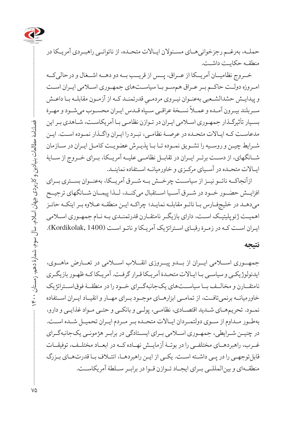

حملــه، بهرغــم رجزخوانیهــای مســئوالن ایــاالت متحــده، از ناتوانــی راهبــردی آمریــکا در منطقـه حکایـت داشـت.

خــروج نظامیــان آمریــکا از عــراق، پــس از قریــب بــه دو دهــه اشــغال و درحالیکــه امــروزه دولــت حاکــم بــر عــراق همســو بــا سیاســتهای جمهــوری اســامی ایــران اســت و پیدایـش حشدالشـعبی بهعنـوان نیـروی مردمــیِ قدرتمنــد کــه از آزمــون مقابلــه بــا داعــش<br>. .<br>سـربلند بيـرون آمـده و عمــلاً نســخۀ عراقــي ســپاه قــدس ايـران محســوب ميشــود و مهـرۀ · بسـیار تأثیرگـذار جمهـوری اسـامی ایـران در تـوازن نظامـی بـا آمریکاسـت، شـاهدی بـر این مدعاسـت کـه ایـاالت متحـده در عرصـۀ نظامـی، نبـرد را ایـران واگـذار نمـوده اسـت. ایـن شـرایط چیـن و روسـیه را تشـویق نمـوده تـا بـا پذیـرش عضویـت کامـل ایـران در سـازمان شــانگهای، از دســت برتــر ایــران در تقابــل نظامــی علیــه آمریــکا، بــرای خــروج از ســایۀ ایـاالت متحـده در آسـیای مرکـزی و خاورمیانـه اسـتفاده نماینـد.

ازآنجاکــه ناتــو نیــز از سیاســت چرخــش بــه شــرق آمریــکا، بهعنــوان بســتری بــرای افزایــش حضــور خــود در شــرق آســیا اســتقبال میکنــد، لــذا پیمــان شــانگهای ترجیــح میدهـد در خلیجفـارس بـا ناتـو مقابلـه نمایـد؛ چراکـه ایـن منطقـه عـاوه بـر اینکـه حائـز اهمیـت ژئوپلیتیـک اسـت، دارای بازیگـر نامتقـارن قدرتمنـدی بـه نـام جمهـوری اسـامی ایـران اسـت کـه در زمـرۀ رقبـای اسـتراتژیک آمریـکا و ناتـو اسـت )1400 ,Kordikolak).

#### **نتیجه**

جمهــوری اســامی ایــران از بــدو پیــروزی انقــاب اســامی در تعــارض ماهــوی، ایدئولوژیکـی و سیاسـی بـا ایـاالت متحـدۀ آمریـکا قـرار گرفـت. آمریـکا کـه ظهـور بازیگـری نامتقــارن و مخالــف بــا سیاســتهای یکجانبهگــرای خــود را در منطقــۀ فوقاســتراتژیک خاورمیانــه برنمیتافــت، از تمامــی ابزارهــای موجــود بــرای مهــار و انقیــاد ایــران اســتفاده نمـود. تحریمهـای شـدید اقتصـادی، نظامـی، پولـی و بانکـی و حتـی مـواد غذایـی و دارو، بهطــور مــداوم از ســوی دولتمــردان ایــاالت متحــده بــر مــردم ایــران تحمیــل شــده اســت. در چنیــن شــرایطی، جمهــوری اســامی بــرای ایســتادگی در برابــر هژمونــی یکجانبهگــرای غــرب، راهبردهــای مختلفــی را در بوتــۀ آزمایــش نهــاده کــه در ابعــاد مختلــف، توفیقــات قابلتوجهـی را در پـی داشـته اسـت. یکـی از ایـن راهبردهـا، ائتـاف بـا قدرتهـای بـزرگ منطقــهای و بینالمللــی بــرای ایجــاد تــوازن قــوا در برابــر ســلطۀ آمریکاســت.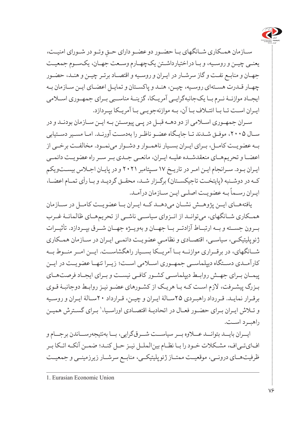

ســازمان همــکاری شــانگهای بــا حضــور دو عضــو دارای حــقِ وتــو در شــورای امنیــت،<br>. یعنـی چیـن و روسـیه، و بـا دراختیارداشـتن یکچهـارم وسـعت جهـان، یکسـوم جمعیـت جهـان و منابـع نفـت و گاز سرشـار در ایـران و روسـیه و اقتصـاد برتـر چیـن و هنـد، حضـور چهـار قـدرت هسـتهای روسـیه، چیـن، هنـد و پاکسـتان و تمایـل اعضـای ایـن سـازمان بـه ایجــاد موازنــۀ نــرم بــا یکجانبهگرایــی آمریــکا، گزینــۀ مناســبی بــرای جمهــوری اســامی ایـران اسـت تـا بـا ائتـاف بـا آن، بـه موازنهجویـی بـا آمریـکا بپـردازد.

سـران جمهـوری اسـامی از دو دهـه قبـل در پـی پیوسـتن بـه ایـن سـازمان بودنـد و در سـال ،2005 موفـق شـدند تـا جایـگاه عضـو ناظـر را بهدسـت آورنـد. امـا مسـیر دسـتیابی بــه عضویــت کامــل، بــرای ایــران بســیار ناهمــوار و دشــوار مینمــود. مخالفــت برخــی از اعضــا و تحریمهــای منعقدشــده علیــه ایــران، مانعــی جــدی بــر ســر راه عضویــت دائمــی ایـران بـود. سـرانجام ایـن امـر در تاریـخ ۱۷ سـپتامبر ۲۰۲۱ و در پایـان اجـاس بیسـتویکم کـه در دوشـنبه )پایتخـت تاجیکسـتان( برگـزار شـد، محقـق گردیـد و بـا رأی تمـام اعضـا، .<br>ایـران رســماً بـه عضویـت اصلــی ایــن سـازمان درآمــد.

یافتههــای ایــن پژوهــش نشــان میدهــد کــه ایــران بــا عضویــت کامــل در ســازمان همــکاری شــانگهای، میتوانــد از انــزوای سیاســی ناشــی از تحریمهــای ظالمانــۀ غــرب بــرون جســته و بــه ارتبــاط آزادتــر بــا جهــان و بهویــژه جهــان شــرق بپــردازد. تأثیــرات ژئوپلیتیکـی، سیاسـی، اقتصــادی و نظامــِي عضویــت دائمــی ایــران در ســازمان همـکاری<br>مصرف ا شــانگهای، در برقــراری موازنــه بــا آمریــکا بســیار راهگشاســت. ایــن امــر منــوط بــه کارآمــدی دســتگاه دیپلماســی جمهــوری اســامی اســت؛ زیــرا تنهــا عضویــت در ایــن پیمــان بــرای جهــش روابــط دیپلماســی کشــور کافــی نیســت و بــرای ایجــاد فرصتهــای بـزرگ پیشـرفت، الزم اسـت کـه بـا هریـک از کشـورهای عضـو نیـز روابـط دوجانبـۀ قـوی برقـرار نمایـد. قـررداد راهبـردی 25سـالۀ ایـران و چیـن، قـرارداد 20سـالۀ ایـران و روسـیه و تـلاش ايـران بـراي حضـور فعـال در اتحاديـۀ اقتصـادي اوراسـيا،' بـراي گسـترش هميـن راهبــرد اســت.

 ایــران بایــد بتوانــد عــاوه بــر سیاســت شــرقگرایی، بــا بهنتیجهرســاندن برجــام و افایتـیاف، مشـکالت خـود را بـا نظـام بینالملـل نیـز حـل کنـد؛ ضمـن آنکـه اتـکا بـر ظرفیتهــای درونــی، موقعیــت ممتــاز ژئوپلیتیکــی، منابــع سرشــار زیرزمینــی و جمعیــت

<sup>1.</sup> Eurasian Economic Union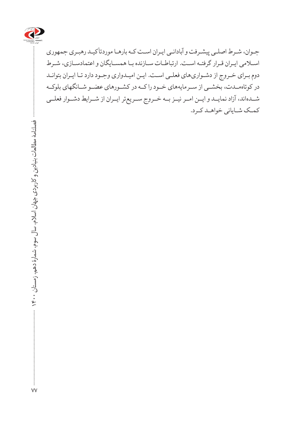

جـوان، شـرط اصلـی پیشـرفت و آبادانـی ایـران اسـت کـه بارهـا موردتأکیـد رهبـری جمهوری اسـامی ایـران قـرار گرفتـه اسـت. ارتباطـات سـازنده بـا همسـایگان و اعتمادسـازی، شـرط دوم بـرای خـروج از دشـواریهای فعلـی اسـت. ایـن امیـدواری وجـود دارد تـا ایـران بتوانـد در کوتاهمــدت، بخشــی از ســرمایههای خــود را کــه در کشــورهای عضــو شــانگهای بلوکــه شــدهاند، آزاد نمایــد و ایــن امــر نیــز بــه خــروج ســریعتر ایــران از شــرایط دشــوار فعلــی کمـک شـایانی خواهـد کـرد.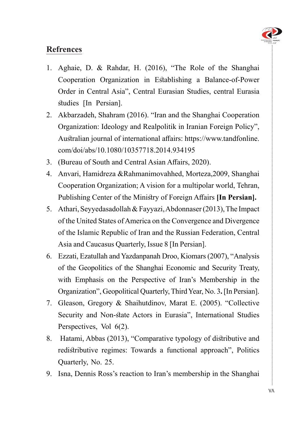

### **Refrences**

- 1. Aghaie, D. & Rahdar, H. (2016), "The Role of the Shanghai Cooperation Organization in Establishing a Balance-of-Power Order in Central Asia", Central Eurasian Studies, central Eurasia studies [In Persian].
- 2. Akbarzadeh, Shahram (2016). "Iran and the Shanghai Cooperation Organization: Ideology and Realpolitik in Iranian Foreign Policy", Australian journal of international affairs: https://www.tandfonline. com/doi/abs/10.1080/10357718.2014.934195
- 3. (Bureau of South and Central Asian Affairs, 2020).
- 4. Anvari, Hamidreza &Rahmanimovahhed, Morteza, 2009, Shanghai Cooperation Organization; A vision for a multipolar world, Tehran, Publishing Center of the Ministry of Foreign Affairs [In Persian].
- 5. Athari, Seyyedasadollah & Fayyazi, Abdonnaser (2013), The Impact of the United States of America on the Convergence and Divergence of the Islamic Republic of Iran and the Russian Federation, Central Asia and Caucasus Quarterly, Issue 8 [In Persian].
- 6. Ezzati, Ezatullah and Yazdanpanah Droo, Kiomars (2007), "Analysis of the Geopolitics of the Shanghai Economic and Security Treaty, with Emphasis on the Perspective of Iran's Membership in the Organization", Geopolitical Quarterly, Third Year, No. 3. [In Persian].
- 7. Gleason, Gregory & Shaihutdinov, Marat E. (2005). "Collective Security and Non-state Actors in Eurasia", International Studies Perspectives, Vol  $6(2)$ .
- 8. Hatami, Abbas (2013), "Comparative typology of distributive and redistributive regimes: Towards a functional approach", Politics Quarterly, No. 25.
- 9. Isna, Dennis Ross's reaction to Iran's membership in the Shanghai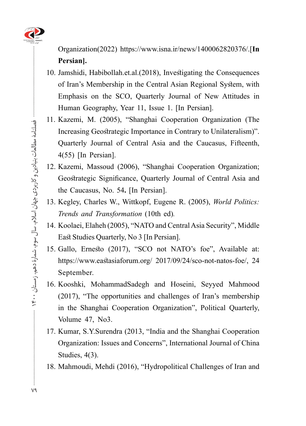

**Organization(2022)** https://www.isna.ir/news/1400062820376/.[In **.[Persian**

- 10. Jamshidi, Habibollah.et.al.(2018), Investigating the Consequences of Iran's Membership in the Central Asian Regional System, with Emphasis on the SCO, Quarterly Journal of New Attitudes in Human Geography, Year 11, Issue 1. [In Persian].
- 11. Kazemi, M. (2005), "Shanghai Cooperation Organization (The Increasing Geostrategic Importance in Contrary to Unilateralism)". Quarterly Journal of Central Asia and the Caucasus, Fifteenth,  $4(55)$  [In Persian].
- 12. Kazemi, Massoud (2006), "Shanghai Cooperation Organization; Geostrategic Significance, Quarterly Journal of Central Asia and the Caucasus, No. 54. [In Persian].
- 13. Kegley, Charles W., Wittkopf, Eugene R. (2005), *World Politics: Trends and Transformation* (10th ed).
- 14. Koolaei, Elaheh (2005), "NATO and Central Asia Security", Middle East Studies Quarterly, No 3 [In Persian].
- 15. Gallo, Ernesto (2017), "SCO not NATO's foe", Available at: https://www.eastasiaforum.org/ 2017/09/24/sco-not-natos-foe/, 24 September.
- 16. Kooshki, MohammadSadegh and Hoseini, Seyyed Mahmood  $(2017)$ , "The opportunities and challenges of Iran's membership in the Shanghai Cooperation Organization", Political Quarterly, Volume 47, No3.
- 17. Kumar, S.Y.Surendra (2013, "India and the Shanghai Cooperation Organization: Issues and Concerns", International Journal of China Studies,  $4(3)$ .
- 18. Mahmoudi, Mehdi (2016), "Hydropolitical Challenges of Iran and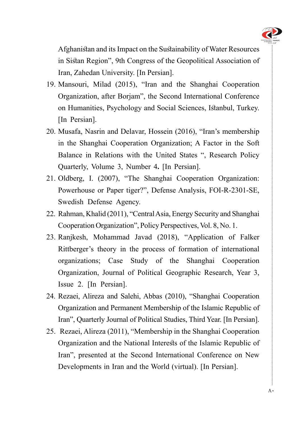

Afghanistan and its Impact on the Sustainability of Water Resources in Sistan Region", 9th Congress of the Geopolitical Association of Iran, Zahedan University. [In Persian].

- 19. Mansouri, Milad (2015), "Iran and the Shanghai Cooperation Organization, after Borjam", the Second International Conference on Humanities, Psychology and Social Sciences, Istanbul, Turkey. [In Persian].
- 20. Musafa, Nasrin and Delavar, Hossein (2016), "Iran's membership in the Shanghai Cooperation Organization; A Factor in the Soft Balance in Relations with the United States ", Research Policy Ouarterly, Volume 3, Number 4. [In Persian].
- 21. Oldberg, I. (2007), "The Shanghai Cooperation Organization: Powerhouse or Paper tiger?", Defense Analysis, FOI-R-2301-SE, Swedish Defense Agency.
- 22. Rahman, Khalid (2011), "Central Asia, Energy Security and Shanghai Cooperation Organization", Policy Perspectives, Vol. 8, No. 1.
- 23. Ranjkesh, Mohammad Javad (2018), "Application of Falker Rittberger's theory in the process of formation of international organizations; Case Study of the Shanghai Cooperation Organization, Journal of Political Geographic Research, Year 3, Issue 2. [In Persian].
- 24. Rezaei, Alireza and Salehi, Abbas (2010), "Shanghai Cooperation Organization and Permanent Membership of the Islamic Republic of Iran", Quarterly Journal of Political Studies, Third Year. [In Persian].
- 25. Rezaei, Alireza (2011), "Membership in the Shanghai Cooperation Organization and the National Interests of the Islamic Republic of Iran", presented at the Second International Conference on New Developments in Iran and the World (virtual). [In Persian].